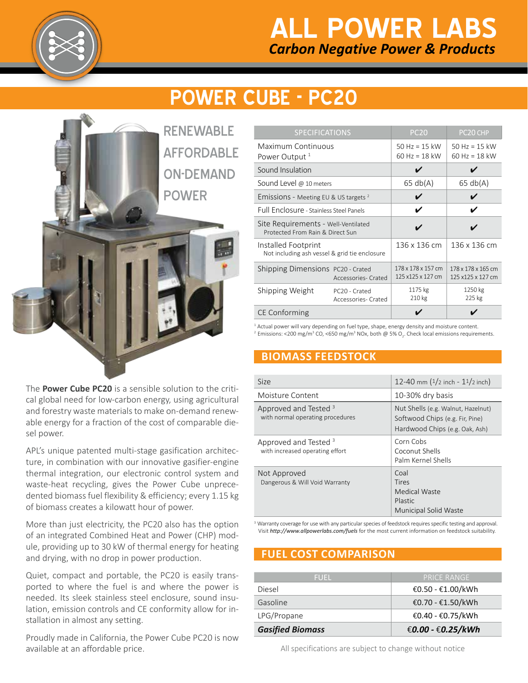

## *Carbon Negative Power & Products* **ALL POWER LABS**

# **Power CUBE - PC20**

**RENEWABLE AFFORDABLE** On-Demand **POWER** 

The **Power Cube PC20** is a sensible solution to the critical global need for low-carbon energy, using agricultural and forestry waste materials to make on-demand renewable energy for a fraction of the cost of comparable diesel power.

APL's unique patented multi-stage gasification architecture, in combination with our innovative gasifier-engine thermal integration, our electronic control system and waste-heat recycling, gives the Power Cube unprecedented biomass fuel flexibility & efficiency; every 1.15 kg of biomass creates a kilowatt hour of power.

More than just electricity, the PC20 also has the option of an integrated Combined Heat and Power (CHP) module, providing up to 30 kW of thermal energy for heating and drying, with no drop in power production.

Quiet, compact and portable, the PC20 is easily transported to where the fuel is and where the power is needed. Its sleek stainless steel enclosure, sound insulation, emission controls and CE conformity allow for installation in almost any setting.

Proudly made in California, the Power Cube PC20 is now available at an affordable price.

| <b>SPECIFICATIONS</b>                                                   |                                                 | <b>PC20</b>                             | PC <sub>20</sub> CHP                    |
|-------------------------------------------------------------------------|-------------------------------------------------|-----------------------------------------|-----------------------------------------|
| Maximum Continuous<br>Power Output <sup>1</sup>                         |                                                 | 50 Hz = $15$ kW<br>60 Hz = 18 kW        | $50$ Hz = 15 kW<br>$60$ Hz = 18 kW      |
| Sound Insulation                                                        |                                                 |                                         |                                         |
| Sound Level @ 10 meters                                                 |                                                 | 65 db(A)                                | 65 db(A)                                |
| Emissions - Meeting EU & US targets $2$                                 |                                                 |                                         |                                         |
| Full Enclosure - Stainless Steel Panels                                 |                                                 | V                                       | ✔                                       |
| Site Requirements - Well-Ventilated<br>Protected From Rain & Direct Sun |                                                 |                                         |                                         |
| Installed Footprint<br>Not including ash vessel & grid tie enclosure    |                                                 | 136 x 136 cm                            | 136 x 136 cm                            |
| Shipping Dimensions PC20 - Crated                                       | Accessories-Crated                              | 178 x 178 x 157 cm<br>125 x125 x 127 cm | 178 x 178 x 165 cm<br>125 x125 x 127 cm |
| Shipping Weight                                                         | PC <sub>20</sub> - Crated<br>Accessories-Crated | 1175 kg<br>210 kg                       | 1250 kg<br>225 kg                       |
| <b>CE Conforming</b>                                                    |                                                 |                                         |                                         |

 $<sup>1</sup>$  Actual power will vary depending on fuel type, shape, energy density and moisture content.</sup>

<sup>2</sup> Emissions: <200 mg/m<sup>3</sup> CO, <650 mg/m<sup>3</sup> NOx, both @ 5% O<sub>2</sub>. Check local emissions requirements.

## **biomass Feedstock**

| <b>Size</b>                                                          | 12-40 mm $(1/2$ inch - $11/2$ inch)                                                                     |
|----------------------------------------------------------------------|---------------------------------------------------------------------------------------------------------|
| Moisture Content                                                     | 10-30% dry basis                                                                                        |
| Approved and Tested <sup>3</sup><br>with normal operating procedures | Nut Shells (e.g. Walnut, Hazelnut)<br>Softwood Chips (e.g. Fir, Pine)<br>Hardwood Chips (e.g. Oak, Ash) |
| Approved and Tested <sup>3</sup><br>with increased operating effort  | Corn Cobs<br>Coconut Shells<br>Palm Kernel Shells                                                       |
| Not Approved<br>Dangerous & Will Void Warranty                       | Coal<br>Tires<br>Medical Waste<br>Plastic<br><b>Municipal Solid Waste</b>                               |

<sup>3</sup> Warranty coverage for use with any particular species of feedstock requires specific testing and approval. Visit *http://www.allpowerlabs.com/fuels* for the most current information on feedstock suitability.

## **FUEL cost comparison**

| <b>FUFL</b>             | LPRICE RANGE '    |
|-------------------------|-------------------|
| Diesel                  | €0.50 - €1.00/kWh |
| Gasoline                | €0.70 - €1.50/kWh |
| LPG/Propane             | €0.40 - €0.75/kWh |
| <b>Gasified Biomass</b> | €0.00 - €0.25/kWh |

All specifications are subject to change without notice